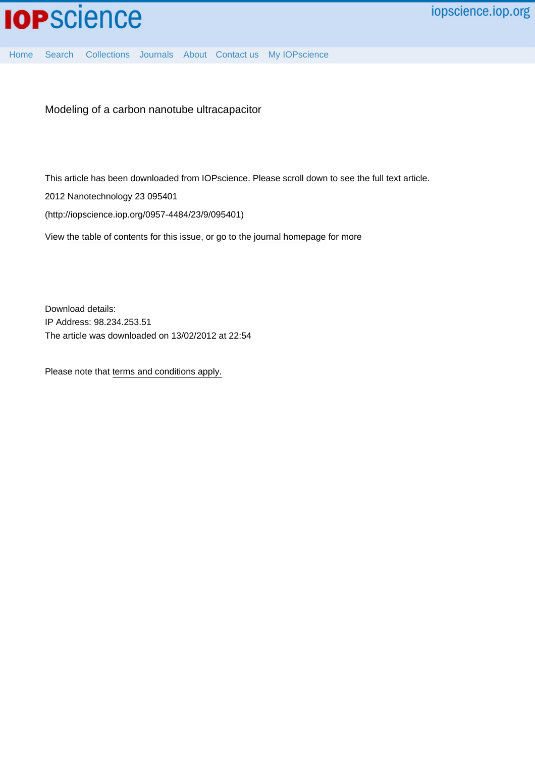

Modeling of a carbon nanotube ultracapacitor

This article has been downloaded from IOPscience. Please scroll down to see the full text article.

2012 Nanotechnology 23 095401

(http://iopscience.iop.org/0957-4484/23/9/095401)

View [the table of contents for this issue](http://iopscience.iop.org/0957-4484/23/9), or go to the [journal homepage](http://iopscience.iop.org/0957-4484) for more

Download details: IP Address: 98.234.253.51 The article was downloaded on 13/02/2012 at 22:54

Please note that [terms and conditions apply.](http://iopscience.iop.org/page/terms)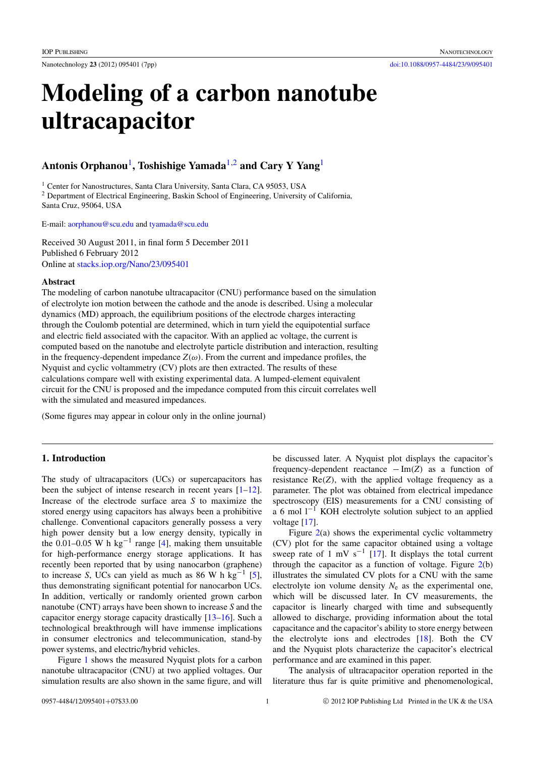Nanotechnology 23 (2012) 095401 (7pp) [doi:10.1088/0957-4484/23/9/095401](http://dx.doi.org/10.1088/0957-4484/23/9/095401)

# Modeling of a carbon nanotube ultracapacitor

# Antonis Orphanou $^{\rm l}$ , Toshishige Yamada $^{\rm l,2}$  $^{\rm l,2}$  $^{\rm l,2}$  and Cary Y Yang $^{\rm l}$

<span id="page-1-0"></span><sup>1</sup> Center for Nanostructures, Santa Clara University, Santa Clara, CA 95053, USA

<span id="page-1-1"></span><sup>2</sup> Department of Electrical Engineering, Baskin School of Engineering, University of California, Santa Cruz, 95064, USA

E-mail: [aorphanou@scu.edu](mailto:aorphanou@scu.edu) and [tyamada@scu.edu](mailto:tyamada@scu.edu)

Received 30 August 2011, in final form 5 December 2011 Published 6 February 2012 Online at [stacks.iop.org/Nano/23/095401](http://stacks.iop.org/Nano/23/095401)

#### Abstract

The modeling of carbon nanotube ultracapacitor (CNU) performance based on the simulation of electrolyte ion motion between the cathode and the anode is described. Using a molecular dynamics (MD) approach, the equilibrium positions of the electrode charges interacting through the Coulomb potential are determined, which in turn yield the equipotential surface and electric field associated with the capacitor. With an applied ac voltage, the current is computed based on the nanotube and electrolyte particle distribution and interaction, resulting in the frequency-dependent impedance  $Z(\omega)$ . From the current and impedance profiles, the Nyquist and cyclic voltammetry (CV) plots are then extracted. The results of these calculations compare well with existing experimental data. A lumped-element equivalent circuit for the CNU is proposed and the impedance computed from this circuit correlates well with the simulated and measured impedances.

(Some figures may appear in colour only in the online journal)

## 1. Introduction

The study of ultracapacitors (UCs) or supercapacitors has been the subject of intense research in recent years [\[1–](#page-7-0)[12\]](#page-7-1). Increase of the electrode surface area *S* to maximize the stored energy using capacitors has always been a prohibitive challenge. Conventional capacitors generally possess a very high power density but a low energy density, typically in the  $0.01-0.05$  W h kg<sup>-1</sup> range [\[4\]](#page-7-2), making them unsuitable for high-performance energy storage applications. It has recently been reported that by using nanocarbon (graphene) to increase *S*, UCs can yield as much as 86 W h kg<sup>-1</sup> [\[5\]](#page-7-3), thus demonstrating significant potential for nanocarbon UCs. In addition, vertically or randomly oriented grown carbon nanotube (CNT) arrays have been shown to increase *S* and the capacitor energy storage capacity drastically [\[13–](#page-7-4)[16\]](#page-7-5). Such a technological breakthrough will have immense implications in consumer electronics and telecommunication, stand-by power systems, and electric/hybrid vehicles.

Figure [1](#page-2-0) shows the measured Nyquist plots for a carbon nanotube ultracapacitor (CNU) at two applied voltages. Our simulation results are also shown in the same figure, and will

be discussed later. A Nyquist plot displays the capacitor's frequency-dependent reactance  $-\text{Im}(Z)$  as a function of resistance Re(*Z*), with the applied voltage frequency as a parameter. The plot was obtained from electrical impedance spectroscopy (EIS) measurements for a CNU consisting of a 6 mol  $1^{-1}$  KOH electrolyte solution subject to an applied voltage [\[17\]](#page-7-6).

Figure  $2(a)$  $2(a)$  shows the experimental cyclic voltammetry (CV) plot for the same capacitor obtained using a voltage sweep rate of 1 mV s<sup>-1</sup> [\[17\]](#page-7-6). It displays the total current through the capacitor as a function of voltage. Figure  $2(b)$  $2(b)$ illustrates the simulated CV plots for a CNU with the same electrolyte ion volume density  $N_e$  as the experimental one, which will be discussed later. In CV measurements, the capacitor is linearly charged with time and subsequently allowed to discharge, providing information about the total capacitance and the capacitor's ability to store energy between the electrolyte ions and electrodes [\[18\]](#page-7-7). Both the CV and the Nyquist plots characterize the capacitor's electrical performance and are examined in this paper.

The analysis of ultracapacitor operation reported in the literature thus far is quite primitive and phenomenological,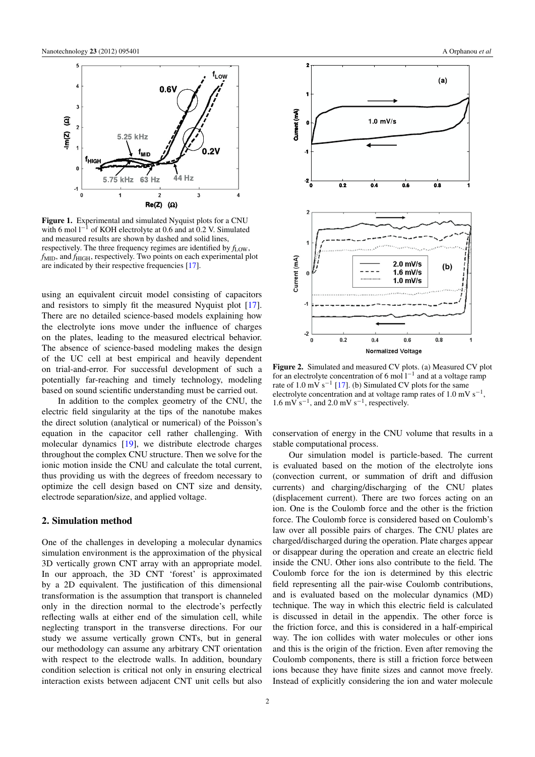<span id="page-2-0"></span>

Figure 1. Experimental and simulated Nyquist plots for a CNU with 6 mol  $l^{-1}$  of KOH electrolyte at 0.6 and at 0.2 V. Simulated and measured results are shown by dashed and solid lines, respectively. The three frequency regimes are identified by  $f_{\text{LOW}}$ , *f*MID, and *f*HIGH, respectively. Two points on each experimental plot are indicated by their respective frequencies [\[17\]](#page-7-6).

using an equivalent circuit model consisting of capacitors and resistors to simply fit the measured Nyquist plot [\[17\]](#page-7-6). There are no detailed science-based models explaining how the electrolyte ions move under the influence of charges on the plates, leading to the measured electrical behavior. The absence of science-based modeling makes the design of the UC cell at best empirical and heavily dependent on trial-and-error. For successful development of such a potentially far-reaching and timely technology, modeling based on sound scientific understanding must be carried out.

In addition to the complex geometry of the CNU, the electric field singularity at the tips of the nanotube makes the direct solution (analytical or numerical) of the Poisson's equation in the capacitor cell rather challenging. With molecular dynamics [\[19\]](#page-7-8), we distribute electrode charges throughout the complex CNU structure. Then we solve for the ionic motion inside the CNU and calculate the total current, thus providing us with the degrees of freedom necessary to optimize the cell design based on CNT size and density, electrode separation/size, and applied voltage.

## 2. Simulation method

One of the challenges in developing a molecular dynamics simulation environment is the approximation of the physical 3D vertically grown CNT array with an appropriate model. In our approach, the 3D CNT 'forest' is approximated by a 2D equivalent. The justification of this dimensional transformation is the assumption that transport is channeled only in the direction normal to the electrode's perfectly reflecting walls at either end of the simulation cell, while neglecting transport in the transverse directions. For our study we assume vertically grown CNTs, but in general our methodology can assume any arbitrary CNT orientation with respect to the electrode walls. In addition, boundary condition selection is critical not only in ensuring electrical interaction exists between adjacent CNT unit cells but also

<span id="page-2-1"></span>

Figure 2. Simulated and measured CV plots. (a) Measured CV plot for an electrolyte concentration of 6 mol l<sup>-1</sup> and at a voltage ramp rate of 1.0 mV s<sup>-1</sup> [\[17\]](#page-7-6). (b) Simulated CV plots for the same electrolyte concentration and at voltage ramp rates of 1.0 mV s<sup>-1</sup>,  $1.6 \text{ mV s}^{-1}$ , and  $2.0 \text{ mV s}^{-1}$ , respectively.

conservation of energy in the CNU volume that results in a stable computational process.

Our simulation model is particle-based. The current is evaluated based on the motion of the electrolyte ions (convection current, or summation of drift and diffusion currents) and charging/discharging of the CNU plates (displacement current). There are two forces acting on an ion. One is the Coulomb force and the other is the friction force. The Coulomb force is considered based on Coulomb's law over all possible pairs of charges. The CNU plates are charged/discharged during the operation. Plate charges appear or disappear during the operation and create an electric field inside the CNU. Other ions also contribute to the field. The Coulomb force for the ion is determined by this electric field representing all the pair-wise Coulomb contributions, and is evaluated based on the molecular dynamics (MD) technique. The way in which this electric field is calculated is discussed in detail in the appendix. The other force is the friction force, and this is considered in a half-empirical way. The ion collides with water molecules or other ions and this is the origin of the friction. Even after removing the Coulomb components, there is still a friction force between ions because they have finite sizes and cannot move freely. Instead of explicitly considering the ion and water molecule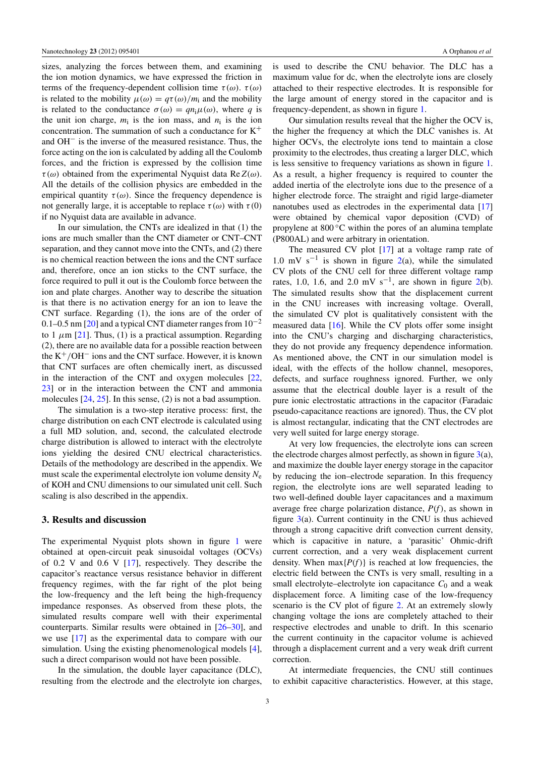sizes, analyzing the forces between them, and examining the ion motion dynamics, we have expressed the friction in terms of the frequency-dependent collision time  $\tau(\omega)$ .  $\tau(\omega)$ is related to the mobility  $\mu(\omega) = q\tau(\omega)/m_i$  and the mobility is related to the conductance  $\sigma(\omega) = qn_i\mu(\omega)$ , where *q* is the unit ion charge,  $m_i$  is the ion mass, and  $n_i$  is the ion concentration. The summation of such a conductance for  $K^+$ and OH<sup>−</sup> is the inverse of the measured resistance. Thus, the force acting on the ion is calculated by adding all the Coulomb forces, and the friction is expressed by the collision time  $\tau(\omega)$  obtained from the experimental Nyquist data Re  $Z(\omega)$ . All the details of the collision physics are embedded in the empirical quantity  $\tau(\omega)$ . Since the frequency dependence is not generally large, it is acceptable to replace  $\tau(\omega)$  with  $\tau(0)$ if no Nyquist data are available in advance.

In our simulation, the CNTs are idealized in that (1) the ions are much smaller than the CNT diameter or CNT–CNT separation, and they cannot move into the CNTs, and (2) there is no chemical reaction between the ions and the CNT surface and, therefore, once an ion sticks to the CNT surface, the force required to pull it out is the Coulomb force between the ion and plate charges. Another way to describe the situation is that there is no activation energy for an ion to leave the CNT surface. Regarding (1), the ions are of the order of 0.1–0.5 nm [\[20\]](#page-7-9) and a typical CNT diameter ranges from  $10^{-2}$ to 1  $\mu$ m [\[21\]](#page-7-10). Thus, (1) is a practical assumption. Regarding (2), there are no available data for a possible reaction between the  $K^+/OH^-$  ions and the CNT surface. However, it is known that CNT surfaces are often chemically inert, as discussed in the interaction of the CNT and oxygen molecules [\[22,](#page-7-11) [23\]](#page-7-12) or in the interaction between the CNT and ammonia molecules  $[24, 25]$  $[24, 25]$  $[24, 25]$ . In this sense, (2) is not a bad assumption.

The simulation is a two-step iterative process: first, the charge distribution on each CNT electrode is calculated using a full MD solution, and, second, the calculated electrode charge distribution is allowed to interact with the electrolyte ions yielding the desired CNU electrical characteristics. Details of the methodology are described in the appendix. We must scale the experimental electrolyte ion volume density *N*<sup>e</sup> of KOH and CNU dimensions to our simulated unit cell. Such scaling is also described in the appendix.

# 3. Results and discussion

The experimental Nyquist plots shown in figure [1](#page-2-0) were obtained at open-circuit peak sinusoidal voltages (OCVs) of 0.2 V and 0.6 V [\[17\]](#page-7-6), respectively. They describe the capacitor's reactance versus resistance behavior in different frequency regimes, with the far right of the plot being the low-frequency and the left being the high-frequency impedance responses. As observed from these plots, the simulated results compare well with their experimental counterparts. Similar results were obtained in [\[26](#page-7-15)[–30\]](#page-7-16), and we use [\[17\]](#page-7-6) as the experimental data to compare with our simulation. Using the existing phenomenological models [\[4\]](#page-7-2), such a direct comparison would not have been possible.

In the simulation, the double layer capacitance (DLC), resulting from the electrode and the electrolyte ion charges, is used to describe the CNU behavior. The DLC has a maximum value for dc, when the electrolyte ions are closely attached to their respective electrodes. It is responsible for the large amount of energy stored in the capacitor and is frequency-dependent, as shown in figure [1.](#page-2-0)

Our simulation results reveal that the higher the OCV is, the higher the frequency at which the DLC vanishes is. At higher OCVs, the electrolyte ions tend to maintain a close proximity to the electrodes, thus creating a larger DLC, which is less sensitive to frequency variations as shown in figure [1.](#page-2-0) As a result, a higher frequency is required to counter the added inertia of the electrolyte ions due to the presence of a higher electrode force. The straight and rigid large-diameter nanotubes used as electrodes in the experimental data [\[17\]](#page-7-6) were obtained by chemical vapor deposition (CVD) of propylene at  $800\degree C$  within the pores of an alumina template (P800AL) and were arbitrary in orientation.

The measured CV plot  $[17]$  at a voltage ramp rate of 1.0 mV s<sup>-1</sup> is shown in figure [2\(](#page-2-1)a), while the simulated CV plots of the CNU cell for three different voltage ramp rates, 1.0, 1.6, and 2.0 mV s<sup>-1</sup>, are shown in figure [2\(](#page-2-1)b). The simulated results show that the displacement current in the CNU increases with increasing voltage. Overall, the simulated CV plot is qualitatively consistent with the measured data [\[16\]](#page-7-5). While the CV plots offer some insight into the CNU's charging and discharging characteristics, they do not provide any frequency dependence information. As mentioned above, the CNT in our simulation model is ideal, with the effects of the hollow channel, mesopores, defects, and surface roughness ignored. Further, we only assume that the electrical double layer is a result of the pure ionic electrostatic attractions in the capacitor (Faradaic pseudo-capacitance reactions are ignored). Thus, the CV plot is almost rectangular, indicating that the CNT electrodes are very well suited for large energy storage.

At very low frequencies, the electrolyte ions can screen the electrode charges almost perfectly, as shown in figure  $3(a)$  $3(a)$ , and maximize the double layer energy storage in the capacitor by reducing the ion–electrode separation. In this frequency region, the electrolyte ions are well separated leading to two well-defined double layer capacitances and a maximum average free charge polarization distance, *P*(*f*), as shown in figure [3\(](#page-4-0)a). Current continuity in the CNU is thus achieved through a strong capacitive drift convection current density, which is capacitive in nature, a 'parasitic' Ohmic-drift current correction, and a very weak displacement current density. When  $max{P(f)}$  is reached at low frequencies, the electric field between the CNTs is very small, resulting in a small electrolyte–electrolyte ion capacitance  $C_0$  and a weak displacement force. A limiting case of the low-frequency scenario is the CV plot of figure [2.](#page-2-1) At an extremely slowly changing voltage the ions are completely attached to their respective electrodes and unable to drift. In this scenario the current continuity in the capacitor volume is achieved through a displacement current and a very weak drift current correction.

At intermediate frequencies, the CNU still continues to exhibit capacitive characteristics. However, at this stage,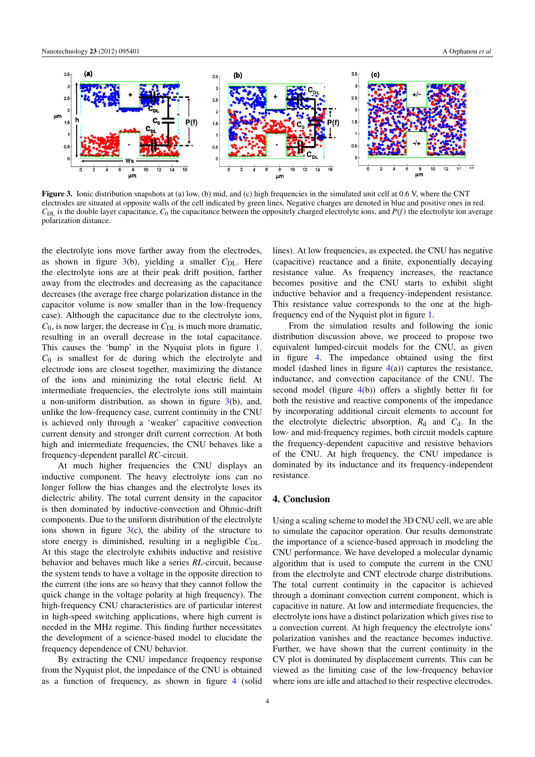<span id="page-4-0"></span>

Figure 3. Ionic distribution snapshots at (a) low, (b) mid, and (c) high frequencies in the simulated unit cell at 0.6 V, where the CNT electrodes are situated at opposite walls of the cell indicated by green lines. Negative charges are denoted in blue and positive ones in red.  $C_{\text{DL}}$  is the double layer capacitance,  $C_0$  the capacitance between the oppositely charged electrolyte ions, and  $P(f)$  the electrolyte ion average polarization distance.

the electrolyte ions move farther away from the electrodes, as shown in figure  $3(b)$  $3(b)$ , yielding a smaller  $C_{DL}$ . Here the electrolyte ions are at their peak drift position, farther away from the electrodes and decreasing as the capacitance decreases (the average free charge polarization distance in the capacitor volume is now smaller than in the low-frequency case). Although the capacitance due to the electrolyte ions,  $C_0$ , is now larger, the decrease in  $C_{\text{DL}}$  is much more dramatic, resulting in an overall decrease in the total capacitance. This causes the 'bump' in the Nyquist plots in figure [1.](#page-2-0) *C*<sup>0</sup> is smallest for dc during which the electrolyte and electrode ions are closest together, maximizing the distance of the ions and minimizing the total electric field. At intermediate frequencies, the electrolyte ions still maintain a non-uniform distribution, as shown in figure  $3(b)$  $3(b)$ , and, unlike the low-frequency case, current continuity in the CNU is achieved only through a 'weaker' capacitive convection current density and stronger drift current correction. At both high and intermediate frequencies, the CNU behaves like a frequency-dependent parallel *RC*-circuit.

At much higher frequencies the CNU displays an inductive component. The heavy electrolyte ions can no longer follow the bias changes and the electrolyte loses its dielectric ability. The total current density in the capacitor is then dominated by inductive-convection and Ohmic-drift components. Due to the uniform distribution of the electrolyte ions shown in figure  $3(c)$  $3(c)$ , the ability of the structure to store energy is diminished, resulting in a negligible  $C_{\text{DL}}$ . At this stage the electrolyte exhibits inductive and resistive behavior and behaves much like a series *RL*-circuit, because the system tends to have a voltage in the opposite direction to the current (the ions are so heavy that they cannot follow the quick change in the voltage polarity at high frequency). The high-frequency CNU characteristics are of particular interest in high-speed switching applications, where high current is needed in the MHz regime. This finding further necessitates the development of a science-based model to elucidate the frequency dependence of CNU behavior.

By extracting the CNU impedance frequency response from the Nyquist plot, the impedance of the CNU is obtained as a function of frequency, as shown in figure [4](#page-5-0) (solid lines). At low frequencies, as expected, the CNU has negative (capacitive) reactance and a finite, exponentially decaying resistance value. As frequency increases, the reactance becomes positive and the CNU starts to exhibit slight inductive behavior and a frequency-independent resistance. This resistance value corresponds to the one at the highfrequency end of the Nyquist plot in figure [1.](#page-2-0)

From the simulation results and following the ionic distribution discussion above, we proceed to propose two equivalent lumped-circuit models for the CNU, as given in figure [4.](#page-5-0) The impedance obtained using the first model (dashed lines in figure  $4(a)$  $4(a)$ ) captures the resistance, inductance, and convection capacitance of the CNU. The second model (figure [4\(](#page-5-0)b)) offers a slightly better fit for both the resistive and reactive components of the impedance by incorporating additional circuit elements to account for the electrolyte dielectric absorption,  $R_d$  and  $C_d$ . In the low- and mid-frequency regimes, both circuit models capture the frequency-dependent capacitive and resistive behaviors of the CNU. At high frequency, the CNU impedance is dominated by its inductance and its frequency-independent resistance.

#### 4. Conclusion

Using a scaling scheme to model the 3D CNU cell, we are able to simulate the capacitor operation. Our results demonstrate the importance of a science-based approach in modeling the CNU performance. We have developed a molecular dynamic algorithm that is used to compute the current in the CNU from the electrolyte and CNT electrode charge distributions. The total current continuity in the capacitor is achieved through a dominant convection current component, which is capacitive in nature. At low and intermediate frequencies, the electrolyte ions have a distinct polarization which gives rise to a convection current. At high frequency the electrolyte ions' polarization vanishes and the reactance becomes inductive. Further, we have shown that the current continuity in the CV plot is dominated by displacement currents. This can be viewed as the limiting case of the low-frequency behavior where ions are idle and attached to their respective electrodes.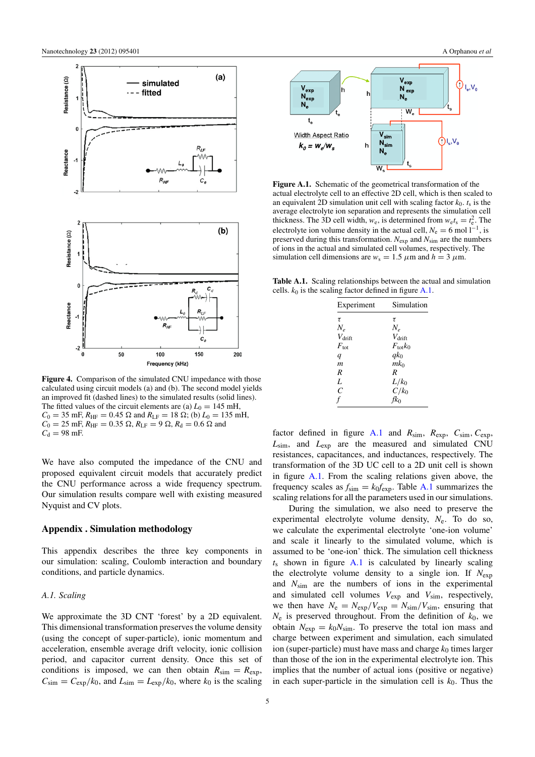<span id="page-5-0"></span>

Figure 4. Comparison of the simulated CNU impedance with those calculated using circuit models (a) and (b). The second model yields an improved fit (dashed lines) to the simulated results (solid lines). The fitted values of the circuit elements are (a)  $L_0 = 145$  mH,  $C_0 = 35$  mF,  $R_{\text{HF}} = 0.45 \Omega$  and  $R_{\text{LF}} = 18 \Omega$ ; (b)  $L_0 = 135$  mH,  $C_0 = 25$  mF,  $R_{\text{HF}} = 0.35 \Omega$ ,  $R_{\text{LF}} = 9 \Omega$ ,  $R_{\text{d}} = 0.6 \Omega$  and  $C_{d} = 98$  mF.

We have also computed the impedance of the CNU and proposed equivalent circuit models that accurately predict the CNU performance across a wide frequency spectrum. Our simulation results compare well with existing measured Nyquist and CV plots.

#### Appendix . Simulation methodology

This appendix describes the three key components in our simulation: scaling, Coulomb interaction and boundary conditions, and particle dynamics.

#### *A.1. Scaling*

We approximate the 3D CNT 'forest' by a 2D equivalent. This dimensional transformation preserves the volume density (using the concept of super-particle), ionic momentum and acceleration, ensemble average drift velocity, ionic collision period, and capacitor current density. Once this set of conditions is imposed, we can then obtain  $R_{sim} = R_{exp}$ ,  $C_{\text{sim}} = C_{\text{exp}}/k_0$ , and  $L_{\text{sim}} = L_{\text{exp}}/k_0$ , where  $k_0$  is the scaling

<span id="page-5-1"></span>

Figure A.1. Schematic of the geometrical transformation of the actual electrolyte cell to an effective 2D cell, which is then scaled to an equivalent 2D simulation unit cell with scaling factor  $k_0$ .  $t_s$  is the average electrolyte ion separation and represents the simulation cell thickness. The 3D cell width,  $w_e$ , is determined from  $w_e t_s = t_e^2$ . The electrolyte ion volume density in the actual cell,  $N_e = 6$  mol l<sup>-1</sup>, is preserved during this transformation. *N*exp and *N*sim are the numbers of ions in the actual and simulated cell volumes, respectively. The simulation cell dimensions are  $w_s = 1.5 \ \mu \text{m}$  and  $h = 3 \ \mu \text{m}$ .

<span id="page-5-2"></span>Table A.1. Scaling relationships between the actual and simulation cells.  $k_0$  is the scaling factor defined in figure  $A.1$ .

| Experiment         | Simulation          |
|--------------------|---------------------|
| τ                  | τ                   |
| $N_e$              | $N_e$               |
| $V_{\text{drift}}$ | $V_{\text{drift}}$  |
| $F_{\rm tot}$      | $F_{\text{tot}}k_0$ |
| q                  | $qk_0$              |
| m                  | mko                 |
| R                  | R                   |
| L                  | $L/k_0$             |
| $\overline{C}$     | $C/k_0$             |
|                    |                     |

factor defined in figure [A.1](#page-5-1) and *R*sim, *R*exp, *C*sim,*C*exp, *L*sim, and *L*exp are the measured and simulated CNU resistances, capacitances, and inductances, respectively. The transformation of the 3D UC cell to a 2D unit cell is shown in figure [A.1.](#page-5-1) From the scaling relations given above, the frequency scales as  $f_{\text{sim}} = k_0 f_{\text{exp}}$ . Table [A.1](#page-5-2) summarizes the scaling relations for all the parameters used in our simulations.

During the simulation, we also need to preserve the experimental electrolyte volume density,  $N_e$ . To do so, we calculate the experimental electrolyte 'one-ion volume' and scale it linearly to the simulated volume, which is assumed to be 'one-ion' thick. The simulation cell thickness *t*<sup>s</sup> shown in figure [A.1](#page-5-1) is calculated by linearly scaling the electrolyte volume density to a single ion. If *N*exp and *N*sim are the numbers of ions in the experimental and simulated cell volumes *V*exp and *V*sim, respectively, we then have  $N_e = N_{exp}/V_{exp} = N_{sim}/V_{sim}$ , ensuring that  $N_e$  is preserved throughout. From the definition of  $k_0$ , we obtain  $N_{\text{exp}} = k_0 N_{\text{sim}}$ . To preserve the total ion mass and charge between experiment and simulation, each simulated ion (super-particle) must have mass and charge  $k_0$  times larger than those of the ion in the experimental electrolyte ion. This implies that the number of actual ions (positive or negative) in each super-particle in the simulation cell is  $k_0$ . Thus the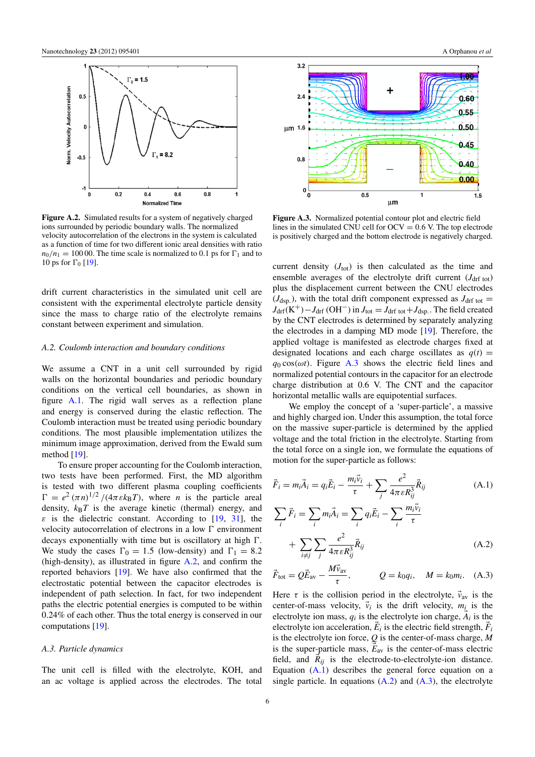<span id="page-6-0"></span>

Figure A.2. Simulated results for a system of negatively charged ions surrounded by periodic boundary walls. The normalized velocity autocorrelation of the electrons in the system is calculated as a function of time for two different ionic areal densities with ratio  $n_0/n_1 = 10000$ . The time scale is normalized to 0.1 ps for  $\Gamma_1$  and to 10 ps for  $\Gamma_0$  [\[19\]](#page-7-8).

drift current characteristics in the simulated unit cell are consistent with the experimental electrolyte particle density since the mass to charge ratio of the electrolyte remains constant between experiment and simulation.

#### *A.2. Coulomb interaction and boundary conditions*

We assume a CNT in a unit cell surrounded by rigid walls on the horizontal boundaries and periodic boundary conditions on the vertical cell boundaries, as shown in figure [A.1.](#page-5-1) The rigid wall serves as a reflection plane and energy is conserved during the elastic reflection. The Coulomb interaction must be treated using periodic boundary conditions. The most plausible implementation utilizes the minimum image approximation, derived from the Ewald sum method [\[19\]](#page-7-8).

To ensure proper accounting for the Coulomb interaction, two tests have been performed. First, the MD algorithm is tested with two different plasma coupling coefficients  $\Gamma = e^2 (\pi n)^{1/2} / (4 \pi \varepsilon k_B T)$ , where *n* is the particle areal density,  $k_B T$  is the average kinetic (thermal) energy, and  $\varepsilon$  is the dielectric constant. According to [\[19,](#page-7-8) [31\]](#page-7-17), the velocity autocorrelation of electrons in a low  $\Gamma$  environment decays exponentially with time but is oscillatory at high  $\Gamma$ . We study the cases  $\Gamma_0 = 1.5$  (low-density) and  $\Gamma_1 = 8.2$ (high-density), as illustrated in figure [A.2,](#page-6-0) and confirm the reported behaviors [\[19\]](#page-7-8). We have also confirmed that the electrostatic potential between the capacitor electrodes is independent of path selection. In fact, for two independent paths the electric potential energies is computed to be within 0.24% of each other. Thus the total energy is conserved in our computations [\[19\]](#page-7-8).

#### *A.3. Particle dynamics*

The unit cell is filled with the electrolyte, KOH, and an ac voltage is applied across the electrodes. The total

<span id="page-6-1"></span>

Figure A.3. Normalized potential contour plot and electric field lines in the simulated CNU cell for  $OCV = 0.6$  V. The top electrode is positively charged and the bottom electrode is negatively charged.

current density  $(J_{\text{tot}})$  is then calculated as the time and ensemble averages of the electrolyte drift current  $(J<sub>drf tot</sub>)$ plus the displacement current between the CNU electrodes  $(J_{\text{dsp}})$ , with the total drift component expressed as  $J_{\text{drf tot}} =$  $J_{\text{drf}}(K^+) - J_{\text{drf}}(OH^-)$  in  $J_{\text{tot}} = J_{\text{drf}}(H^+ + J_{\text{dsp}})$ . The field created by the CNT electrodes is determined by separately analyzing the electrodes in a damping MD mode [\[19\]](#page-7-8). Therefore, the applied voltage is manifested as electrode charges fixed at designated locations and each charge oscillates as  $q(t)$  =  $q_0 \cos(\omega t)$ . Figure [A.3](#page-6-1) shows the electric field lines and normalized potential contours in the capacitor for an electrode charge distribution at 0.6 V. The CNT and the capacitor horizontal metallic walls are equipotential surfaces.

We employ the concept of a 'super-particle', a massive and highly charged ion. Under this assumption, the total force on the massive super-particle is determined by the applied voltage and the total friction in the electrolyte. Starting from the total force on a single ion, we formulate the equations of motion for the super-particle as follows:

<span id="page-6-2"></span>
$$
\vec{F}_i = m_i \vec{A}_i = q_i \vec{E}_i - \frac{m_i \vec{v}_i}{\tau} + \sum_j \frac{e^2}{4\pi \varepsilon R_{ij}^3} \vec{R}_{ij}
$$
\n(A.1)\n
$$
\sum_i \vec{F}_i = \sum_i m_i \vec{A}_i = \sum_i q_i \vec{E}_i - \sum_i \frac{m_i \vec{v}_i}{\tau}
$$
\n
$$
+ \sum_{i \neq j} \sum_j \frac{e^2}{4\pi \varepsilon R_{ij}^3} \vec{R}_{ij}
$$
\n(A.2)

<span id="page-6-4"></span><span id="page-6-3"></span>
$$
\vec{F}_{\text{tot}} = Q\vec{E}_{\text{av}} - \frac{M\vec{v}_{\text{av}}}{\tau}, \qquad Q = k_0 q_i, \quad M = k_0 m_i. \quad (A.3)
$$

Here  $\tau$  is the collision period in the electrolyte,  $\vec{v}_{av}$  is the center-of-mass velocity,  $\vec{v}_i$  is the drift velocity,  $m_i$  is the electrolyte ion mass,  $q_i$  is the electrolyte ion charge,  $\vec{A}_i$  is the electrolyte ion acceleration,  $\vec{E}_i$  is the electric field strength,  $\vec{F}_i$ is the electrolyte ion force, *Q* is the center-of-mass charge, *M* is the super-particle mass,  $\vec{E}_{av}$  is the center-of-mass electric field, and  $R_{ij}$  is the electrode-to-electrolyte-ion distance. Equation  $(A.1)$  describes the general force equation on a single particle. In equations  $(A.2)$  and  $(A.3)$ , the electrolyte